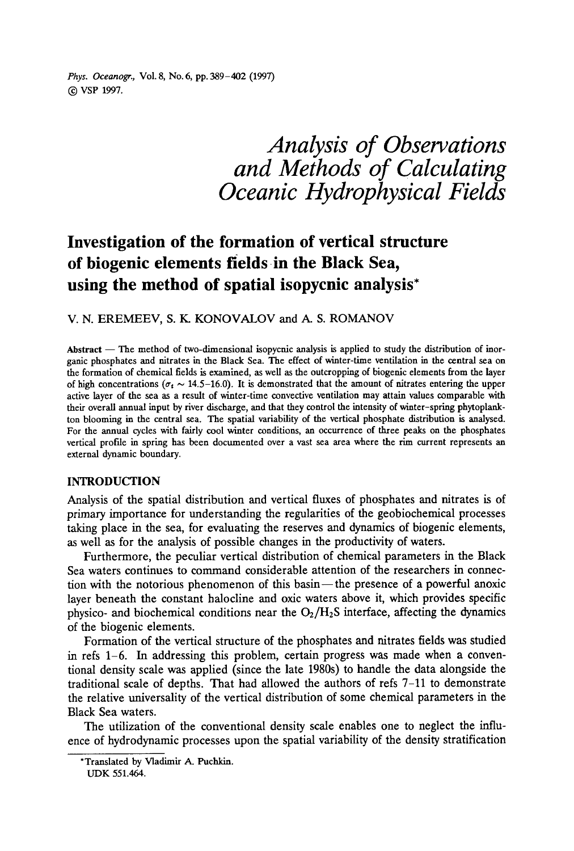*Phys. Oceanogr.,* Vol. 8, No. 6, pp. 389-402 (1997) @ VSP 1997.

# *Analysis of Observations and Methods of Calculating Oceanic Hydrophysical Fields*

# **Investigation of the formation of vertical structure of biogenic elements fields in the Black Sea, using the method of spatial isopycnic analysis\***

V. N. EREMEEV, S. K. KONOVALOV and A. S. ROMANOV

Abstract -- The method of two-dimensional isopycnic analysis is applied to study the distribution of inorganic phosphates and nitrates in the Black Sea. The effect of winter-time ventilation in the central sea on the formation of chemical fields is examined, as well as the outcropping of biogenic elements from the layer of high concentrations ( $\sigma_t \sim 14.5-16.0$ ). It is demonstrated that the amount of nitrates entering the upper active layer of the sea as a result of winter-time convective ventilation may attain values comparable with their overall annual input by river discharge, and that they control the intensity of winter-spring phytoplankton blooming in the central sea. The spatial variability of the vertical phosphate distribution is analysed. For the annual cycles with fairly cool winter conditions, an occurrence of three peaks on the phosphates vertical profile in spring has been documented over a vast sea area where the rim current represents an external dynamic boundary.

# INTRODUCTION

Analysis of the spatial distribution and vertical fluxes of phosphates and nitrates is of primary importance for understanding the regularities of the geobiochemical processes taking place in the sea, for evaluating the reserves and dynamics of biogenic elements, as well as for the analysis of possible changes in the productivity of waters.

Furthermore, the peculiar vertical distribution of chemical parameters in the Black Sea waters continues to command considerable attention of the researchers in connection with the notorious phenomenon of this basin--the presence of a powerful anoxic layer beneath the constant halocline and oxic waters above it, which provides specific physico- and biochemical conditions near the  $O_2/H_2S$  interface, affecting the dynamics of the biogenic elements.

Formation of the vertical structure of the phosphates and nitrates fields was studied in refs 1-6. In addressing this problem, certain progress was made when a conventional density scale was applied (since the late 1980s) to handle the data alongside the traditional scale of depths. That had allowed the authors of refs 7-11 to demonstrate the relative universality of the vertical distribution of some chemical parameters in the Black Sea waters.

The utilization of the conventional density scale enables one to neglect the influence of hydrodynamic processes upon the spatial variability of the density stratification

<sup>\*</sup>Translated by Vladimir A. Puchkin.

UDK 551.464.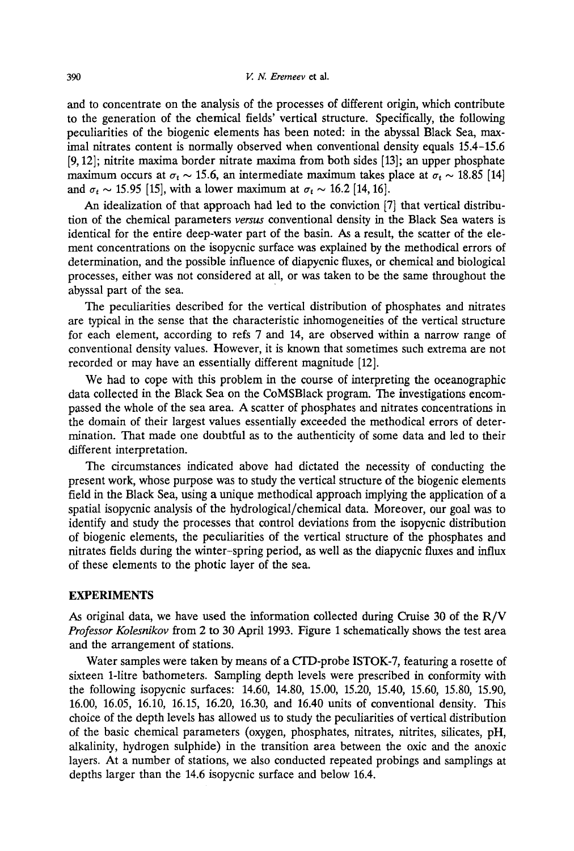and to concentrate on the analysis of the processes of different origin, which contribute to the generation of the chemical fields' vertical structure. Specifically, the following peculiarities of the biogenic elements has been noted: in the abyssal Black Sea, maximal nitrates content is normally observed when conventional density equals 15.4-15.6 [9, 12]; nitrite maxima border nitrate maxima from both sides [13]; an upper phosphate maximum occurs at  $\sigma_t \sim 15.6$ , an intermediate maximum takes place at  $\sigma_t \sim 18.85$  [14] and  $\sigma_t \sim 15.95$  [15], with a lower maximum at  $\sigma_t \sim 16.2$  [14, 16].

An idealization of that approach had led to the conviction [7] that vertical distribution of the chemical parameters *versus* conventional density in the Black Sea waters is identical for the entire deep-water part of the basin. As a result, the scatter of the element concentrations on the isopycnic surface was explained by the methodical errors of determination, and the possible intluence of diapycnic fluxes, or chemical and biological processes, either was not considered at all, or was taken to be the same throughout the abyssal part of the sea.

The peculiarities described for the vertical distribution of phosphates and nitrates are typical in the sense that the characteristic inhomogeneities of the vertical structure for each element, according to refs 7 and 14, are observed within a narrow range of conventional density values. However, it is known that sometimes such extrema are not recorded or may have an essentially different magnitude [12].

We had to cope with this problem in the course of interpreting the oceanographic data collected in the Black Sea on the CoMSBlack program. The investigations encompassed the whole of the sea area. A scatter of phosphates and nitrates concentrations in the domain of their largest values essentially exceeded the methodical errors of determination. That made one doubtful as to the authenticity of some data and led to their different interpretation.

The circumstances indicated above had dictated the necessity of conducting the present work, whose purpose was to study the vertical structure of the biogenic elements field in the Black Sea, using a unique methodical approach implying the application of a spatial isopycnic analysis of the hydrological/chemical data. Moreover, our goal was to identify and study the processes that control deviations from the isopycnic distribution of biogenic elements, the peculiarities of the vertical structure of the phosphates and nitrates fields during the winter-spring period, as well as the diapycnic fluxes and influx of these elements to the photic layer of the sea.

## **EXPERIMENTS**

As original data, we have used the information collected during Cruise 30 of the R/V *Professor Kolesnikov* from 2 to 30 April 1993. Figure 1 schematically shows the test area and the arrangement of stations.

Water samples were taken by means of a CTD-probe ISTOK-7, featuring a rosette of sixteen 1-1itre bathometers. Sampling depth levels were prescribed in conformity with the following isopycnic surfaces: 14.60, 14.80, 15.00, 15.20, 15.40, 15.60, 15.80, 15.90, 16.00, 16.05, 16.10, 16.15, 16.20, 16.30, and 16.40 units of conventional density. This choice of the depth levels has allowed us to study the peculiarities of vertical distribution of the basic chemical parameters (oxygen, phosphates, nitrates, nitrites, silicates, pH, alkalinity, hydrogen sulphide) in the transition area between the oxic and the anoxic layers. At a number of stations, we also conducted repeated probings and samplings at depths larger than the 14.6 isopycnic surface and below 16.4.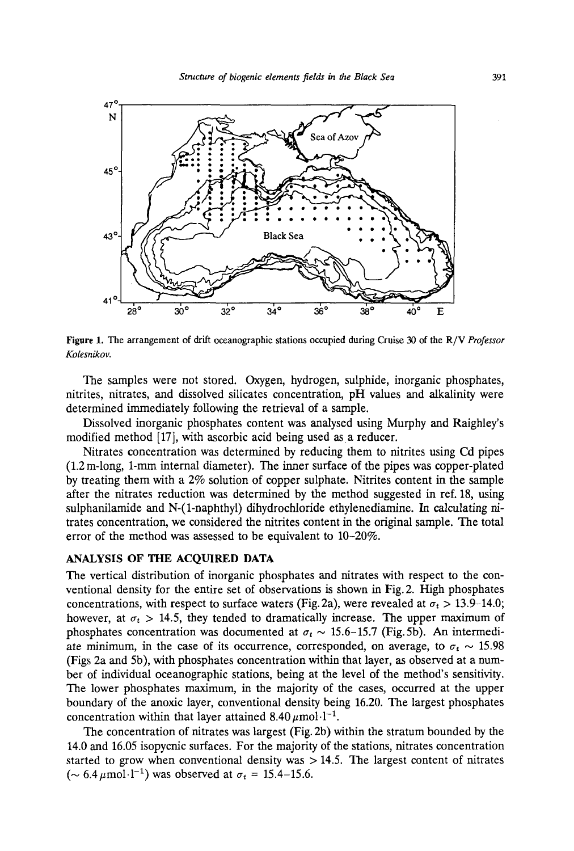

Figure 1. The arrangement of drift oceanographic stations occupied during Cruise 30 of the R/V *Professor Kolesnikov.* 

The samples were not stored. Oxygen, hydrogen, sulphide, inorganic phosphates, nitrites, nitrates, and dissolved silicates concentration, pH values and alkalinity were determined immediately following the retrieval of a sample.

Dissolved inorganic phosphates content was analysed using Murphy and Raighley's modified method [17], with ascorbic acid being used as a reducer.

Nitrates concentration was determined by reducing them to nitrites using Cd pipes (1.2 m-long, 1-mm internal diameter). The inner surface of the pipes was copper-plated by treating them with a 2% solution of copper sulphate. Nitrites content in the sample after the nitrates reduction was determined by the method suggested in ref. 18, using sulphanilamide and N-(1-naphthyl) dihydrochloride ethylenediamine. In calculating nitrates concentration, we considered the nitrites content in the original sample. The total error of the method was assessed to be equivalent to 10-20%.

# ANALYSIS OF THE ACQUIRED DATA

The vertical distribution of inorganic phosphates and nitrates with respect to the conventional density for the entire set of observations is shown in Fig. 2. High phosphates concentrations, with respect to surface waters (Fig. 2a), were revealed at  $\sigma_t > 13.9$ -14.0; however, at  $\sigma_t > 14.5$ , they tended to dramatically increase. The upper maximum of phosphates concentration was documented at  $\sigma_t \sim 15.6$ -15.7 (Fig.5b). An intermediate minimum, in the case of its occurrence, corresponded, on average, to  $\sigma_t \sim 15.98$ (Figs 2a and 5b), with phosphates concentration within that layer, as observed at a number of individual oceanographic stations, being at the level of the method's sensitivity. The lower phosphates maximum, in the majority of the cases, occurred at the upper boundary of the anoxic layer, conventional density being 16.20. The largest phosphates concentration within that layer attained  $8.40 \,\mu\text{mol}\cdot\text{l}^{-1}$ .

The concentration of nitrates was largest (Fig. 2b) within the stratum bounded by the 14.0 and 16.05 isopycnic surfaces. For the majority of the stations, nitrates concentration started to grow when conventional density was  $> 14.5$ . The largest content of nitrates (~ 6.4  $\mu$ mol·l<sup>-1</sup>) was observed at  $\sigma_t = 15.4 - 15.6$ .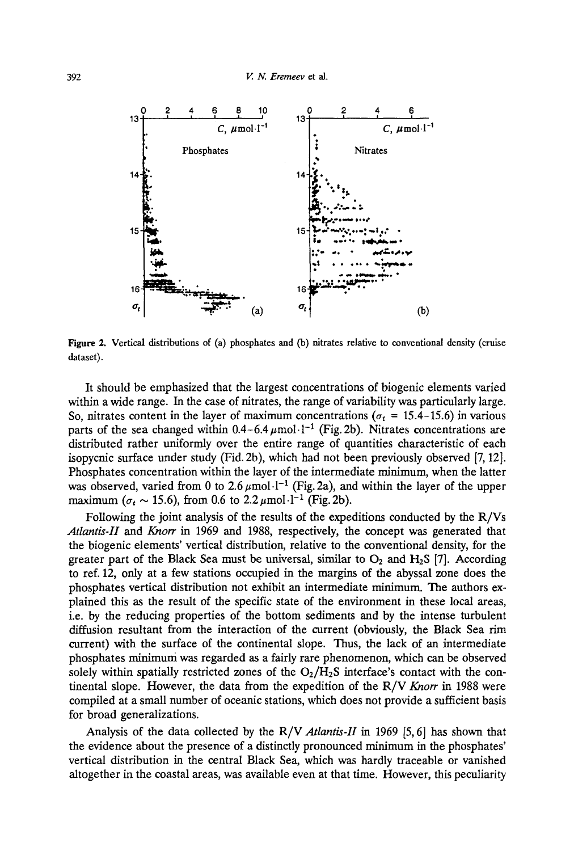

Figure 2. Vertical distributions of (a) phosphates and (b) nitrates relative to conventional density (cruise dataset).

It should be emphasized that the largest concentrations of biogenic elements varied within a wide range. In the case of nitrates, the range of variability was particularly large. So, nitrates content in the layer of maximum concentrations ( $\sigma_t$  = 15.4-15.6) in various parts of the sea changed within  $0.4 - 6.4 \mu$  mol $\cdot$ 1<sup>-1</sup> (Fig. 2b). Nitrates concentrations are distributed rather uniformly over the entire range of quantities characteristic of each isopycnic surface under study (Fid. 2b), which had not been previously observed [7, 12]. Phosphates concentration within the layer of the intermediate minimum, when the latter was observed, varied from 0 to 2.6  $\mu$ mol $\cdot$ 1<sup>-1</sup> (Fig.2a), and within the layer of the upper maximum ( $\sigma_t \sim 15.6$ ), from 0.6 to 2.2  $\mu$ mol.1<sup>-1</sup> (Fig. 2b).

Following the joint analysis of the results of the expeditions conducted by the R/Vs *Atlantis-II* and *Knorr* in 1969 and 1988, respectively, the concept was generated that the biogenic elements' vertical distribution, relative to the conventional density, for the greater part of the Black Sea must be universal, similar to  $O_2$  and  $H_2S$  [7]. According to ref. 12, only at a few stations occupied in the margins of the abyssal zone does the phosphates vertical distribution not exhibit an intermediate minimum. The authors explained this as the result of the specific state of the environment in these local areas, i.e. by the reducing properties of the bottom sediments and by the intense turbulent diffusion resultant from the interaction of the current (obviously, the Black Sea rim current) with the surface of the continental slope. Thus, the lack of an intermediate phosphates minimum was regarded as a fairly rare phenomenon, which can be observed solely within spatially restricted zones of the  $O_2/H_2S$  interface's contact with the continental slope. However, the data from the expedition of the  $R/V$  Knorr in 1988 were compiled at a small number of oceanic stations, which does not provide a sufficient basis for broad generalizations.

Analysis of the data collected by the R/V *Atlantis-H in* 1969 [5, 6] has shown that the evidence about the presence of a distinctly pronounced minimum in the phosphates' vertical distribution in the central Black Sea, which was hardly traceable or vanished altogether in the coastal areas, was available even at that time. However, this peculiarity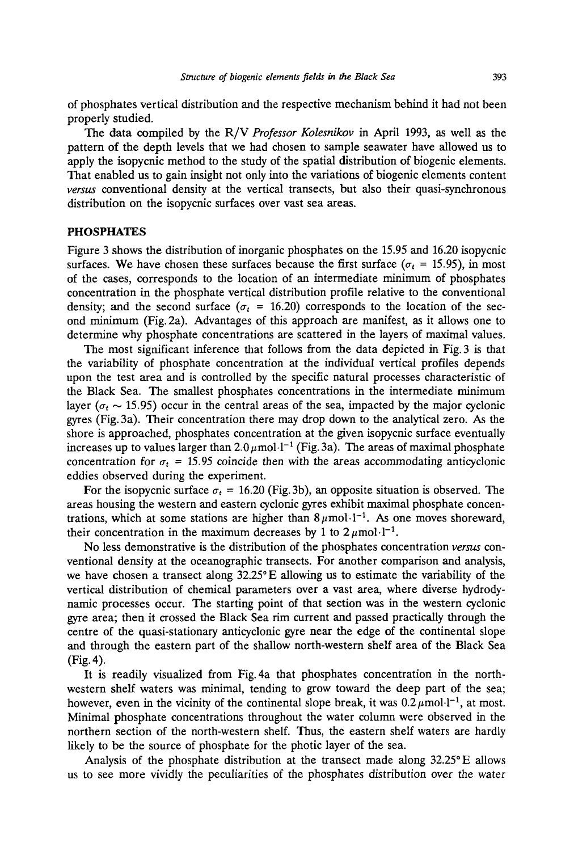of phosphates vertical distribution and the respective mechanism behind it had not been properly studied.

The data compiled by the R/V *Professor Kolesnikov in* April 1993, as well as the pattern of the depth levels that we had chosen to sample seawater have allowed us to apply the isopycnic method to the study of the spatial distribution of biogenic elements. That enabled us to gain insight not only into the variations of biogenic elements content *versus* conventional density at the vertical transects, but also their quasi-synchronous distribution on the isopycnic surfaces over vast sea areas.

# **PHOSPHATES**

Figure 3 shows the distribution of inorganic phosphates on the 15.95 and 16.20 isopycnic surfaces. We have chosen these surfaces because the first surface ( $\sigma_t$  = 15.95), in most of the cases, corresponds to the location of an intermediate minimum of phosphates concentration in the phosphate vertical distribution profile relative to the conventional density; and the second surface ( $\sigma_t$  = 16.20) corresponds to the location of the second minimum (Fig. 2a). Advantages of this approach are manifest, as it allows one to determine why phosphate concentrations are scattered in the layers of maximal values.

The most significant inference that follows from the data depicted in Fig. 3 is that the variability of phosphate concentration at the individual vertical profiles depends upon the test area and is controlled by the specific natural processes characteristic of the Black Sea. The smallest phosphates concentrations in the intermediate minimum layer ( $\sigma_t \sim 15.95$ ) occur in the central areas of the sea, impacted by the major cyclonic gyres (Fig. 3a). Their concentration there may drop down to the analytical zero. As the shore is approached, phosphates concentration at the given isopycnic surface eventually increases up to values larger than  $2.0 \mu$ mol $\cdot$ 1<sup>-1</sup> (Fig. 3a). The areas of maximal phosphate concentration for  $\sigma_t$  = 15.95 coincide then with the areas accommodating anticyclonic eddies observed during the experiment.

For the isopycnic surface  $\sigma_t = 16.20$  (Fig. 3b), an opposite situation is observed. The areas housing the western and eastern cyclonic gyres exhibit maximal phosphate concentrations, which at some stations are higher than  $8 \mu$ mol.1<sup>-1</sup>. As one moves shoreward, their concentration in the maximum decreases by 1 to  $2 \mu$ mol.<sup>1-1</sup>.

No less demonstrative is the distribution of the phosphates concentration *versus* conventional density at the oceanographic transects. For another comparison and analysis, we have chosen a transect along  $32.25^{\circ}$  E allowing us to estimate the variability of the vertical distribution of chemical parameters over a vast area, where diverse hydrodynamic processes occur. The starting point of that section was in the western cyclonic gyre area; then it crossed the Black Sea rim current and passed practically through the centre of the quasi-stationary anticyclonic gyre near the edge of the continental slope and through the eastern part of the shallow north-western shelf area of the Black Sea  $(Fig. 4)$ .

It is readily visualized from Fig. 4a that phosphates concentration in the northwestern shelf waters was minimal, tending to grow toward the deep part of the sea; however, even in the vicinity of the continental slope break, it was  $0.2 \mu$ mol·l<sup>-1</sup>, at most. Minimal phosphate concentrations throughout the water column were observed in the northern section of the north-western shelf. Thus, the eastern shelf waters are hardly likely to be the source of phosphate for the photic layer of the sea.

Analysis of the phosphate distribution at the transect made along  $32.25^{\circ}E$  allows us to see more vividly the peculiarities of the phosphates distribution over the water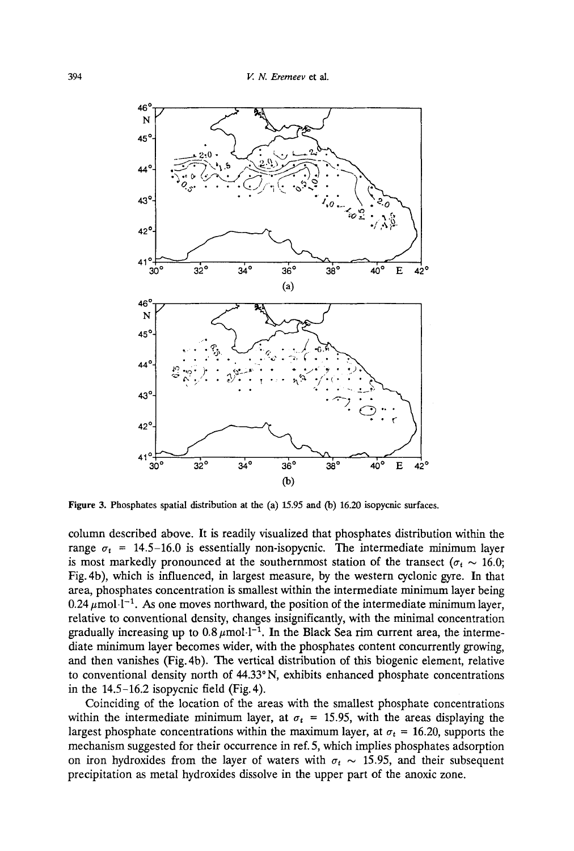

Figure 3. Phosphates spatial distribution at the (a) 15.95 and (b) 16.20 isopycnic surfaces.

column described above. It is readily visualized that phosphates distribution within the range  $\sigma_t$  = 14.5-16.0 is essentially non-isopycnic. The intermediate minimum layer is most markedly pronounced at the southernmost station of the transect ( $\sigma_t \sim 16.0$ ; Fig. 4b), which is influenced, in largest measure, by the western cyclonic gyre. In that area, phosphates concentration is smallest within the intermediate minimum layer being  $0.24 \mu$  mol $1^{-1}$ . As one moves northward, the position of the intermediate minimum layer, relative to conventional density, changes insignificantly, with the minimal concentration gradually increasing up to  $0.8 \mu$ mol $\cdot$ l<sup>-1</sup>. In the Black Sea rim current area, the intermediate minimum layer becomes wider, with the phosphates content concurrently growing, and then vanishes (Fig. 4b). The vertical distribution of this biogenic element, relative to conventional density north of  $44.33^\circ$  N, exhibits enhanced phosphate concentrations in the  $14.5-16.2$  isopycnic field (Fig. 4).

Coinciding of the location of the areas with the smallest phosphate concentrations within the intermediate minimum layer, at  $\sigma_t = 15.95$ , with the areas displaying the largest phosphate concentrations within the maximum layer, at  $\sigma_t = 16.20$ , supports the mechanism suggested for their occurrence in ref. 5, which implies phosphates adsorption on iron hydroxides from the layer of waters with  $\sigma_t \sim 15.95$ , and their subsequent precipitation as metal hydroxides dissolve in the upper part of the anoxic zone.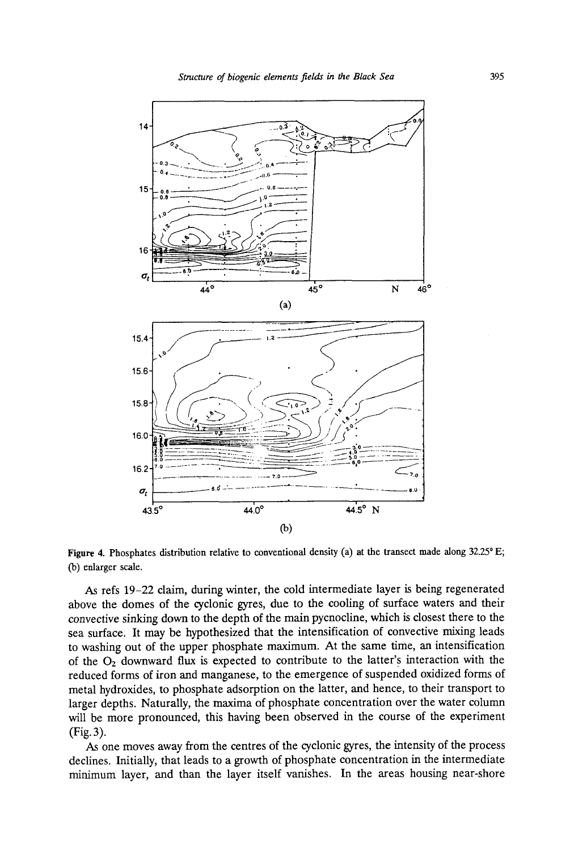

Figure 4. Phosphates distribution relative to conventional density (a) at the transect made along  $32.25^{\circ}$  E; (b) enlarger scale.

As refs 19-22 claim, during winter, the cold intermediate layer is being regenerated above the domes of the cyclonic gyres, due to the cooling of surface waters and their convective sinking down to the depth of the main pycnocline, which is closest there to the sea surface. It may be hypothesized that the intensification of convective mixing leads to washing out of the upper phosphate maximum. At the same time, an intensification of the  $O_2$  downward flux is expected to contribute to the latter's interaction with the reduced forms of iron and manganese, to the emergence of suspended oxidized forms of metal hydroxides, to phosphate adsorption on the latter, and hence, to their transport to larger depths. Naturally, the maxima of phosphate concentration over the water column will be more pronounced, this having been observed in the course of the experiment (Fig.3).

As one moves away from the centres of the cyclonic gyres, the intensity of the process declines. Initially, that leads to a growth of phosphate concentration in the intermediate minimum layer, and than the layer itself vanishes. In the areas housing near-shore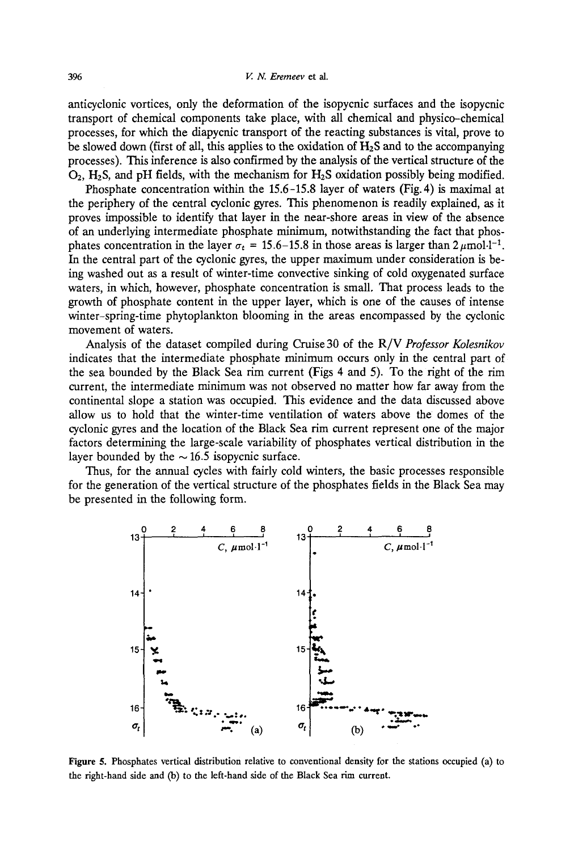396 V.N. *Eremeev* et al.

anticyclonic vortices, only the deformation of the isopycnic surfaces and the isopycnic transport of chemical components take place, with all chemical and physico-chemical processes, for which the diapycnic transport of the reacting substances is vital, prove to be slowed down (first of all, this applies to the oxidation of  $H_2S$  and to the accompanying processes). This inference is also confirmed by the analysis of the vertical structure of the  $O_2$ ,  $H_2S$ , and pH fields, with the mechanism for  $H_2S$  oxidation possibly being modified.

Phosphate concentration within the 15.6-15.8 layer of waters (Fig. 4) is maximal at the periphery of the central cyclonic gyres. This phenomenon is readily explained, as it proves impossible to identify that layer in the near-shore areas in view of the absence of an underlying intermediate phosphate minimum, notwithstanding the fact that phosphates concentration in the layer  $\sigma_t = 15.6 - 15.8$  in those areas is larger than  $2 \mu \text{mol}^{-1}$ . In the central part of the cyclonic gyres, the upper maximum under consideration is being washed out as a result of winter-time convective sinking of cold oxygenated surface waters, in which, however, phosphate concentration is small. That process leads to the growth of phosphate content in the upper layer, which is one of the causes of intense winter-spring-time phytoplankton blooming in the areas encompassed by the cyclonic movement of waters.

Analysis of the dataset compiled during Cruise 30 of the R/V *Professor Kolesnikov*  indicates that the intermediate phosphate minimum occurs only in the central part of the sea bounded by the Black Sea rim current (Figs 4 and 5). To the right of the rim current, the intermediate minimum was not observed no matter how far away from the continental slope a station was occupied. This evidence and the data discussed above allow us to hold that the winter-time ventilation of waters above the domes of the cyclonic gyres and the location of the Black Sea rim current represent one of the major factors determining the large-scale variability of phosphates vertical distribution in the layer bounded by the  $\sim 16.5$  isopycnic surface.

Thus, for the annual cycles with fairly cold winters, the basic processes responsible for the generation of the vertical structure of the phosphates fields in the Black Sea may be presented in the following form.



Figure 5. Phosphates vertical distribution relative to conventional density for the stations occupied (a) to the right-hand side and (b) to the left-hand side of the Black Sea rim current.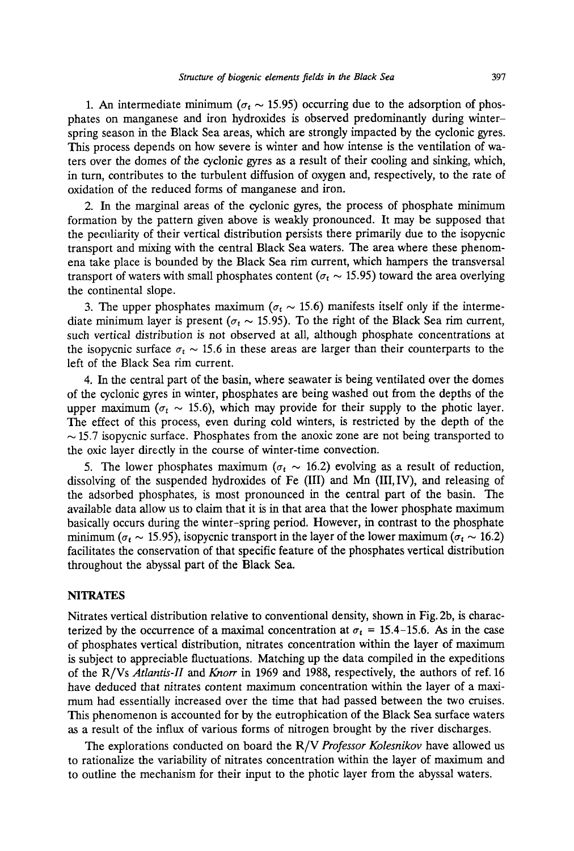1. An intermediate minimum ( $\sigma_t \sim 15.95$ ) occurring due to the adsorption of phosphates on manganese and iron hydroxides is observed predominantly during winterspring season in the Black Sea areas, which are strongly impacted by the cyclonic gyres. This process depends on how severe is winter and how intense is the ventilation of waters over the domes of the cyclonic gyres as a result of their cooling and sinking, which, in turn, contributes to the turbulent diffusion of oxygen and, respectively, to the rate of oxidation of the reduced forms of manganese and iron.

2. In the marginal areas of the cyclonic gyres, the process of phosphate minimum formation by the pattern given above is weakly pronounced. It may be supposed that the pecnliarity of their vertical distribution persists there primarily due to the isopycnic transport and mixing with the central Black Sea waters. The area where these phenomena take place is bounded by the Black Sea rim current, which hampers the transversal transport of waters with small phosphates content ( $\sigma_t \sim 15.95$ ) toward the area overlying the continental slope.

3. The upper phosphates maximum ( $\sigma_t \sim 15.6$ ) manifests itself only if the intermediate minimum layer is present ( $\sigma_t \sim 15.95$ ). To the right of the Black Sea rim current, such vertical distribution is not observed at all, although phosphate concentrations at the isopycnic surface  $\sigma_t \sim 15.6$  in these areas are larger than their counterparts to the left of the Black Sea rim current.

4. In the central part of the basin, where seawater is being ventilated over the domes of the cyclonic gyres in winter, phosphates are being washed out from the depths of the upper maximum ( $\sigma_t \sim 15.6$ ), which may provide for their supply to the photic layer. The effect of this process, even during cold winters, is restricted by the depth of the  $\sim$  15.7 isopycnic surface. Phosphates from the anoxic zone are not being transported to the oxic layer directly in the course of winter-time convection.

5. The lower phosphates maximum ( $\sigma_t \sim 16.2$ ) evolving as a result of reduction, dissolving of the suspended hydroxides of Fe  $(III)$  and Mn  $(III, IV)$ , and releasing of the adsorbed phosphates, is most pronounced in the central part of the basin. The available data allow us to daim that it is in that area that the lower phosphate maximum basically occurs during the winter-spring period. However, in contrast to the phosphate minimum ( $\sigma_t \sim 15.95$ ), isopycnic transport in the layer of the lower maximum ( $\sigma_t \sim 16.2$ ) facilitates the conservation of that specific feature of the phosphates vertical distribution throughout the abyssal part of the Black Sea.

## **NITRATES**

Nitrates vertical distribution relative to conventional density, shown in Fig. 2b, is characterized by the occurrence of a maximal concentration at  $\sigma_t = 15.4$ –15.6. As in the case of phosphates vertical distribution, nitrates concentration within the layer of maximum is subject to appreciable fluctuations. Matching up the data compiled in the expeditions of the R/Vs *AtIantis-lI* and Knorr in 1969 and 1988, respectively, the authors of ref. 16 have deduced that nitrates content maximum concentration within the layer of a maximum had essentially increased over the time that had passed between the two cruises. This phenomenon is accounted for by the eutrophication of the Black Sea surface waters as a result of the influx of various forms of nitrogen brought by the river discharges.

The explorations conducted on board the R/V *Professor Kolesnikov* have allowed us to rationalize the variability of nitrates concentration within the layer of maximum and to outline the mechanism for their input to the photic layer from the abyssal waters.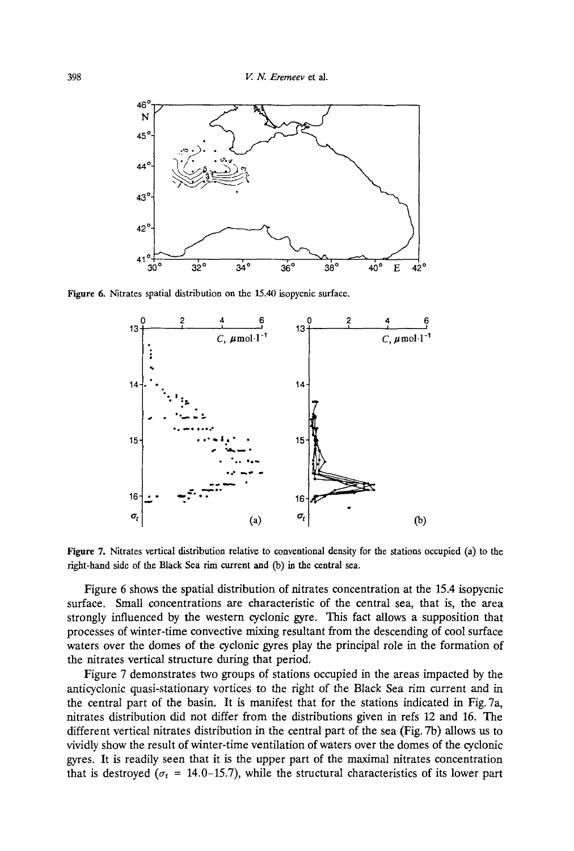

Figure 6. Nitrates spatial distribution on the 15.40 isopycnic surface.



Figure 7. Nitrates vertical distribution relative to conventional density for the stations occupied (a) to the right-hand side of the Black Sea rim current and (b) in the central sea.

Figure 6 shows the spatial distribution of nitrates concentration at the 15.4 isopycnic surface. Small concentrations are characteristic of the central sea, that is, the area strongly influenced by the western cyclonic gyre. This fact allows a supposition that processes of winter-time convective mixing resultant from the descending of cool surface waters over the domes of the cyclonic gyres play the principal role in the formation of the nitrates vertical structure during that period.

Figure 7 demonstrates two groups of stations occupied in the areas impacted by the anticyclonic quasi-stationary vortices to the right of the Black Sea rim current and in the central part of the basin. It is manifest that for the stations indicated in Fig. 7a, nitrates distribution did not differ from the distributions given in refs 12 and 16. The different vertical nitrates distribution in the central part of the sea (Fig. To) allows us to vividly show the result of winter-time ventilation of waters over the domes of the cyclonic gyres. It is readily seen that it is the upper part of the maximal nitrates concentration that is destroyed ( $\sigma_t$  = 14.0–15.7), while the structural characteristics of its lower part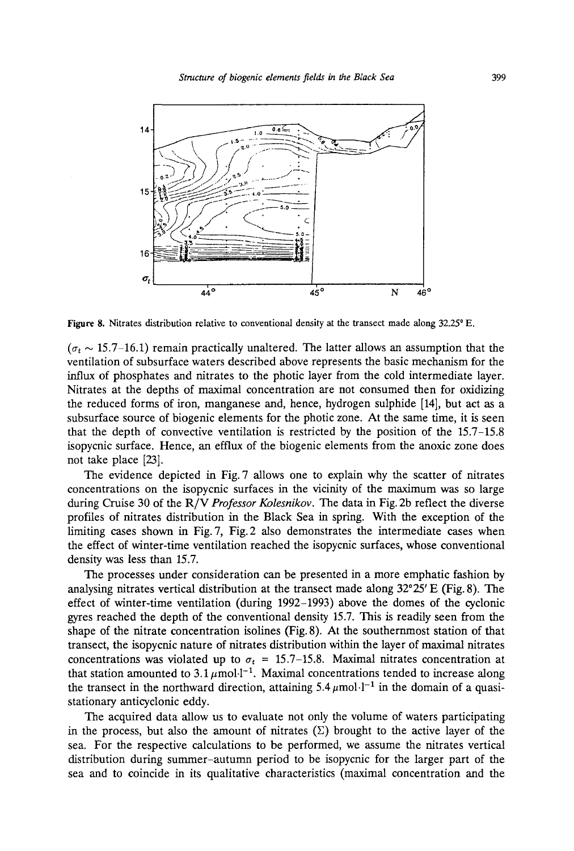

Figure 8. Nitrates distribution relative to conventional density at the transect made along 32.25° E.

 $(\sigma_t \sim 15.7{\text -}16.1)$  remain practically unaltered. The latter allows an assumption that the ventilation of subsurface waters described above represents the basic mechanism for the influx of phosphates and nitrates to the photic layer from the cold intermediate layer. Nitrates at the depths of maximal concentration are not consumed then for oxidizing the reduced forms of iron, manganese and, hence, hydrogen sulphide [14], but act as a subsurface source of biogenic elements for the photic zone. At the same time, it is seen that the depth of convective ventilation is restricted by the position of the 15.7-15.8 isopycnic surface. Hence, an effiux of the biogenic elements from the anoxic zone does not take place [23].

The evidence depicted in Fig. 7 allows one to explain why the scatter of nitrates concentrations on the isopycnic surfaces in the vicinity of the maximum was so large during Cruise 30 of the R/V *Professor Kolesnikov. The* data in Fig. 2b reflect the diverse profiles of nitrates distribution in the Black Sea in spring. With the exception of the limiting cases shown in Fig. 7, Fig.2 also demonstrates the intermediate cases when the effect of winter-time ventilation reached the isopycnic surfaces, whose conventional density was less than 15.7.

The processes under consideration can be presented in a more emphatic fashion by analysing nitrates vertical distribution at the transect made along  $32^{\circ}25'$  E (Fig. 8). The effect of winter-time ventilation (during 1992-1993) above the domes of the cyclonic gyres reached the depth of the conventional density 15.7. This is readily seen from the shape of the nitrate concentration isolines (Fig. 8). At the southernmost station of that transect, the isopycnic nature of nitrates distribution within the layer of maximal nitrates concentrations was violated up to  $\sigma_t = 15.7$ –15.8. Maximal nitrates concentration at that station amounted to 3.1  $\mu$ mol $l^{-1}$ . Maximal concentrations tended to increase along the transect in the northward direction, attaining  $5.4 \mu$  mol $\cdot$ 1<sup>-1</sup> in the domain of a quasistationary anticyclonic eddy.

The acquired data allow us to evaluate not only the volume of waters participating in the process, but also the amount of nitrates  $(\Sigma)$  brought to the active layer of the sea. For the respective calculations to be performed, we assume the nitrates vertical distribution during summer-autumn period to be isopycnic for the larger part of the sea and to coincide in its qualitative characteristics (maximal concentration and the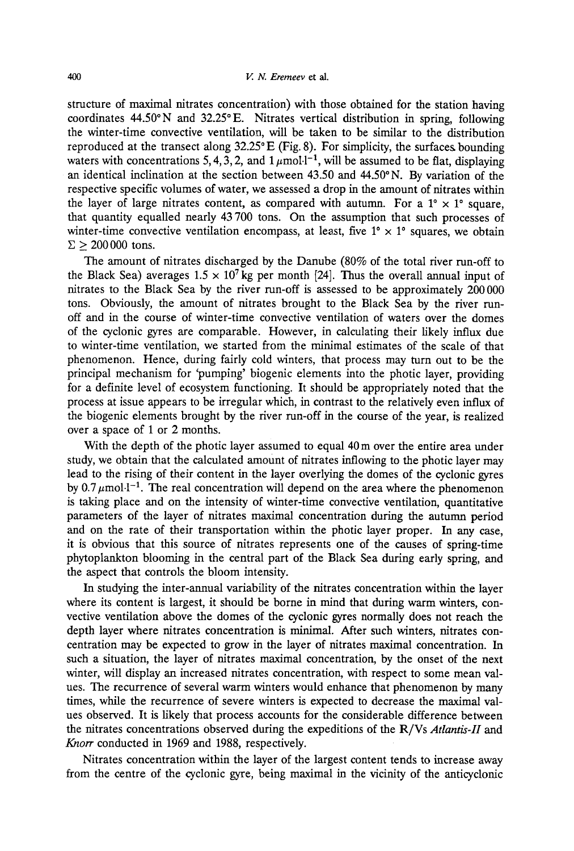structure of maximal nitrates concentration) with those obtained for the station having coordinates  $44.50^{\circ}$  N and  $32.25^{\circ}$  E. Nitrates vertical distribution in spring, following the winter-time convective ventilation, will be taken to be similar to the distribution reproduced at the transect along  $32.25^{\circ}$  E (Fig. 8). For simplicity, the surfaces bounding waters with concentrations 5, 4, 3, 2, and  $1 \mu$ mol.<sup>1-1</sup>, will be assumed to be flat, displaying an identical inclination at the section between  $43.50$  and  $44.50$ °N. By variation of the respective specific volumes of water, we assessed a drop in the amount of nitrates within the layer of large nitrates content, as compared with autumn. For a  $1^{\circ} \times 1^{\circ}$  square, that quantity equalled nearly 43 700 tons. On the assumption that such processes of winter-time convective ventilation encompass, at least, five  $1^{\circ} \times 1^{\circ}$  squares, we obtain  $\Sigma > 200 000$  tons.

The amount of nitrates discharged by the Danube (80% of the total river run-off to the Black Sea) averages  $1.5 \times 10^7$  kg per month [24]. Thus the overall annual input of nitrates to the Black Sea by the river run-off is assessed to be approximately 200 000 tons. Obviously, the amount of nitrates brought to the Black Sea by the river runoff and in the course of winter-time convective ventilation of waters over the domes of the cyclonic gyres are comparable. However, in calculating their likely influx due to winter-time ventilation, we started from the minimal estimates of the scale of that phenomenon. Hence, during fairly cold winters, that process may turn out to be the principal mechanism for 'pumping' biogenic elements into the photic layer, providing for a definite level of ecosystem functioning. It should be appropriately noted that the process at issue appears to be irregular which, in contrast to the relatively even influx of the biogenic elements brought by the river run-off in the course of the year, is realized over a space of 1 or 2 months.

With the depth of the photic layer assumed to equal 40 m over the entire area under study, we obtain that the calculated amount of nitrates inflowing to the photic layer may lead to the rising of their content in the layer overlying the domes of the cyclonic gyres by  $0.7 \mu$ mol $1^{-1}$ . The real concentration will depend on the area where the phenomenon is taking place and on the intensity of winter-time convective ventilation, quantitative parameters of the layer of nitrates maximal concentration during the autumn period and on the rate of their transportation within the photic layer proper. In any case, it is obvious that this source of nitrates represents one of the causes of spring-time phytoplankton blooming in the central part of the Black Sea during early spring, and the aspect that controls the bloom intensity.

In studying the inter-annual variability of the nitrates concentration within the layer where its content is largest, it should be borne in mind that during warm winters, convective ventilation above the domes of the cyclonic gyres normally does not reach the depth layer where nitrates concentration is minimal. After such winters, nitrates concentration may be expected to grow in the layer of nitrates maximal concentration. In such a situation, the layer of nitrates maximal concentration, by the onset of the next winter, will display an increased nitrates concentration, with respect to some mean values. The recurrence of several warm winters would enhance that phenomenon by many times, while the recurrence of severe winters is expected to decrease the maximal values observed. It is likely that process accounts for the considerable difference between the nitrates concentrations observed during the expeditions of the R/Vs *Atlantis-H and*  Knorr conducted in 1969 and 1988, respectively.

Nitrates concentration within the layer of the largest content tends to increase away from the centre of the cyclonic gyre, being maximal in the vicinity of the anticyclonic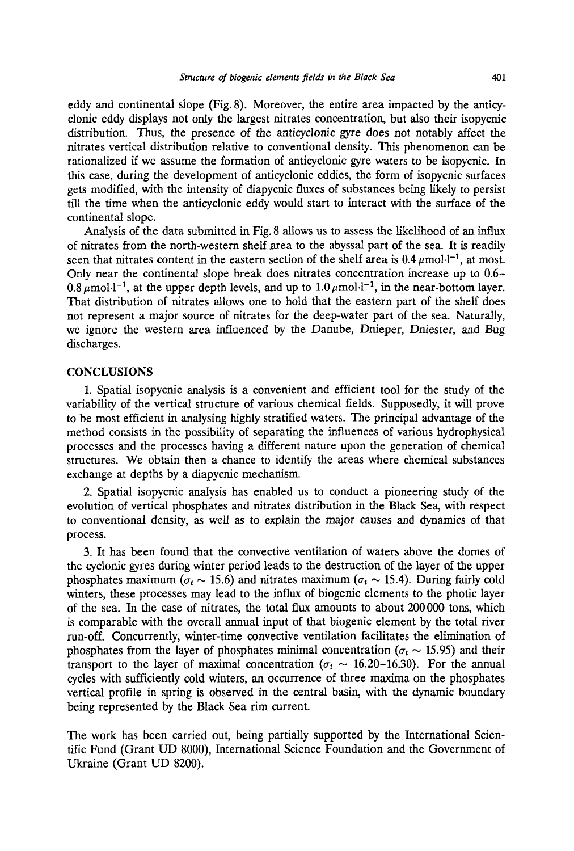eddy and continental slope (Fig. 8). Moreover, the entire area impacted by the anticyclonic eddy displays not only the largest nitrates concentration, but also their isopycnic distribution. Thus, the presence of the anticyclonic gyre does not notably affect the nitrates vertical distribution relative to conventional density. This phenomenon can be rationalized if we assume the formation of anticyclonic gyre waters to be isopycnic. In this case, during the development of anticyclonic eddies, the form of isopycnic surfaces gets modified, with the intensity of diapycnic fluxes of substances being likely to persist till the time when the anticyclonic eddy would start to interact with the surface of the continental slope.

Analysis of the data submitted in Fig. 8 allows us to assess the likelihood of an influx of nitrates from the north-western shelf area to the abyssal part of the sea. It is readily seen that nitrates content in the eastern section of the shelf area is  $0.4 \mu$ mol·l<sup>-1</sup>, at most. Only near the continental slope break does nitrates concentration increase up to 0.6- 0.8  $\mu$ mol·l<sup>-1</sup>, at the upper depth levels, and up to 1.0  $\mu$ mol·l<sup>-1</sup>, in the near-bottom layer. That distribution of nitrates allows one to hold that the eastern part of the shelf does not represent a major source of nitrates for the deep-water part of the sea. Naturally, we ignore the western area influenced by the Danube, Dnieper, Dniester, and Bug discharges.

#### **CONCLUSIONS**

1. Spatial isopycnic analysis is a convenient and efficient tool for the study of the variability of the vertical structure of various chemical fields. Supposedly, it will prove to be most efficient in analysing highly stratified waters. The principal advantage of the method consists in the possibility of separating the influences of various hydrophysical processes and the processes having a different nature upon the generation of chemical structures. We obtain then a chance to identify the areas where chemical substances exchange at depths by a diapycnic mechanism.

2. Spatial isopycnic analysis has enabled us to conduct a pioneering study of the evolution of vertical phosphates and nitrates distribution in the Black Sea, with respect to conventional density, as well as to explain the major causes and dynamics of that process.

3. It has been found that the convective ventilation of waters above the domes of the cyclonic gyres during winter period leads to the destruction of the layer of the upper phosphates maximum ( $\sigma_t \sim 15.6$ ) and nitrates maximum ( $\sigma_t \sim 15.4$ ). During fairly cold winters, these processes may lead to the influx of biogenic elements to the photic layer of the sea. In the case of nitrates, the total flux amounts to about 200 000 tons, which is comparable with the overall annual input of that biogenic element by the total fiver run-off. Concurrently, winter-time convective ventilation facilitates the elimination of phosphates from the layer of phosphates minimal concentration ( $\sigma_t \sim 15.95$ ) and their transport to the layer of maximal concentration ( $\sigma_t \sim 16.20{\text -}16.30$ ). For the annual cycles with sufficiently cold winters, an occurrence of three maxima on the phosphates vertical profile in spring is observed in the central basin, with the dynamic boundary being represented by the Black Sea rim current.

The work has been carried out, being partially supported by the International Scientific Fund (Grant UD 8000), International Science Foundation and the Government of Ukraine (Grant UD 8200).